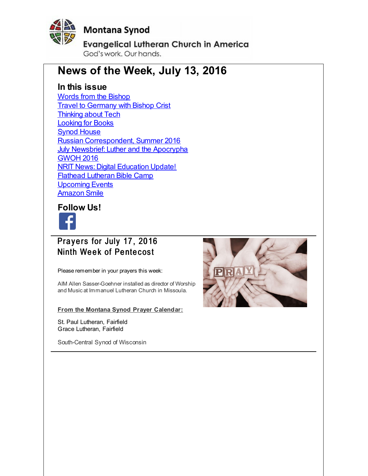<span id="page-0-0"></span>

## **Montana Synod**

**Evangelical Lutheran Church in America** 

God's work, Our hands,

## **News of the Week, July 13, 2016**

#### **In this issue**

Words from the [Bishop](#page-0-0) **Travel to [Germany](#page-0-0) with Bishop Crist [Thinking](#page-0-0) about Tech** [Looking](#page-0-0) for Books **Synod [House](#page-0-0)** Russian [Correspondent,](#page-0-0) Summer 2016 **July Newsbrief: Luther and the [Apocrypha](#page-0-0)** [GWOH](#page-0-0) 2016 NRIT News: Digital [Education](#page-0-0) Update! Flathead [Lutheran](#page-0-0) Bible Camp **[Upcoming](#page-0-0) Events** [Amazon](#page-0-0) Smile

#### **Follow Us!**



#### Prayers for July 17, 2016 Ninth Week of Pentecost

Please remember in your prayers this week:

AIM Allen Sasser-Goehner installed as director of Worship and Music at Immanuel Lutheran Church in Missoula.

**From the Montana Synod Prayer Calendar:**

St. Paul Lutheran, Fairfield Grace Lutheran, Fairfield

South-Central Synod of Wisconsin

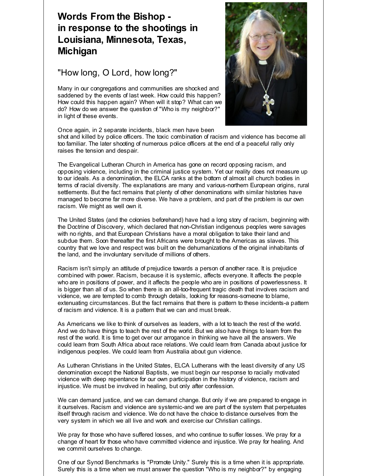## **Words From the Bishop in response to the shootings in Louisiana, Minnesota, Texas, Michigan**

#### "How long, O Lord, how long?"

Many in our congregations and communities are shocked and saddened by the events of last week. How could this happen? How could this happen again? When will it stop? What can we do? How do we answer the question of "Who is my neighbor?" in light of these events.

Once again, in 2 separate incidents, black men have been



shot and killed by police officers. The toxic combination of racism and violence has become all too familiar. The later shooting of numerous police officers at the end of a peaceful rally only raises the tension and despair.

The Evangelical Lutheran Church in America has gone on record opposing racism, and opposing violence, including in the criminal justice system. Yet our reality does not measure up to our ideals. As a denomination, the ELCA ranks at the bottom of almost all church bodies in terms of racial diversity. The explanations are many and various-northern European origins, rural settlements. But the fact remains that plenty of other denominations with similar histories have managed to become far more diverse. We have a problem, and part of the problem is our own racism. We might as well own it.

The United States (and the colonies beforehand) have had a long story of racism, beginning with the Doctrine of Discovery, which declared that non-Christian indigenous peoples were savages with no rights, and that European Christians have a moral obligation to take their land and subdue them. Soon thereafter the first Africans were brought to the Americas as slaves. This country that we love and respect was built on the dehumanizations of the original inhabitants of the land, and the involuntary servitude of millions of others.

Racism isn't simply an attitude of prejudice towards a person of another race. It is prejudice combined with power. Racism, because it is systemic, affects everyone. It affects the people who are in positions of power, and it affects the people who are in positions of powerlessness. It is bigger than all of us. So when there is an all-too-frequent tragic death that involves racism and violence, we are tempted to comb through details, looking for reasons-someone to blame, extenuating circumstances. But the fact remains that there is pattern to these incidents-a pattern of racism and violence. It is a pattern that we can and must break.

As Americans we like to think of ourselves as leaders, with a lot to teach the rest of the world. And we do have things to teach the rest of the world. But we also have things to learn from the rest of the world. It is time to get over our arrogance in thinking we have all the answers. We could learn from South Africa about race relations. We could learn from Canada about justice for indigenous peoples. We could learn from Australia about gun violence.

As Lutheran Christians in the United States, ELCA Lutherans with the least diversity of any US denomination except the National Baptists, we must begin our response to racially motivated violence with deep repentance for our own participation in the history of violence, racism and injustice. We must be involved in healing, but only after confession.

We can demand justice, and we can demand change. But only if we are prepared to engage in it ourselves. Racism and violence are systemic-and we are part of the system that perpetuates itself through racism and violence. We do not have the choice to distance ourselves from the very system in which we all live and work and exercise our Christian callings.

We pray for those who have suffered losses, and who continue to suffer losses. We pray for a change of heart for those who have committed violence and injustice. We pray for healing. And we commit ourselves to change.

One of our Synod Benchmarks is "Promote Unity." Surely this is a time when it is appropriate. Surely this is a time when we must answer the question "Who is my neighbor?" by engaging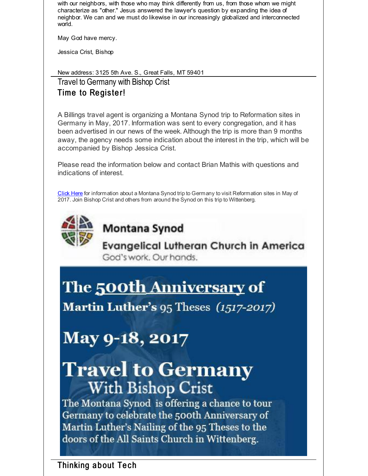with our neighbors, with those who may think differently from us, from those whom we might characterize as "other." Jesus answered the lawyer's question by expanding the idea of neighbor. We can and we must do likewise in our increasingly globalized and interconnected world.

May God have mercy.

Jessica Crist, Bishop

New address: 3125 5th Ave. S., Great Falls, MT 59401 Travel to Germany with Bishop Crist Time to Register!

A Billings travel agent is organizing a Montana Synod trip to Reformation sites in Germany in May, 2017. Information was sent to every congregation, and it has been advertised in our news of the week. Although the trip is more than 9 months away, the agency needs some indication about the interest in the trip, which will be accompanied by Bishop Jessica Crist.

Please read the information below and contact Brian Mathis with questions and indications of interest.

[Click](http://r20.rs6.net/tn.jsp?f=001dXRXwS4q3uL_FoCsSFSk3whnJ35NM2Tsxd5OxqeoASZ3fynxkbsTSS8uh6cSOhl4JaUYcu1J2OHN1ABMdfrrdV0kc3BmK4it1kFLN1Hq9k1H0Wl1_FPJmqwjTLDN4sYi4Y1nBDeFDKnXn6gZNIX_Be1J5_E0CGTxy7EHIMbZlh0nuMMjnr6pX83i_xOwNcWNVoXUKeShFJ5AP5x8-xKLC6wRCuQcVkOK7YfLX7hpfQMJUvTKEI52iM5iHXJzKwpDSvB71g4J52zLnwnw7zs7Favo-DAJv77j&c=&ch=) Here for information about a Montana Synod trip to Germany to visit Reformation sites in May of 2017. Join Bishop Crist and others from around the Synod on this trip to Wittenberg.



**Montana Synod** 

**Evangelical Lutheran Church in America** God's work. Our hands.

# The 500th Anniversary of

Martin Luther's 95 Theses (1517-2017)

# May 9-18, 2017

# **Travel to Germany With Bishop Crist**

The Montana Synod is offering a chance to tour Germany to celebrate the 500th Anniversary of Martin Luther's Nailing of the 95 Theses to the doors of the All Saints Church in Wittenberg.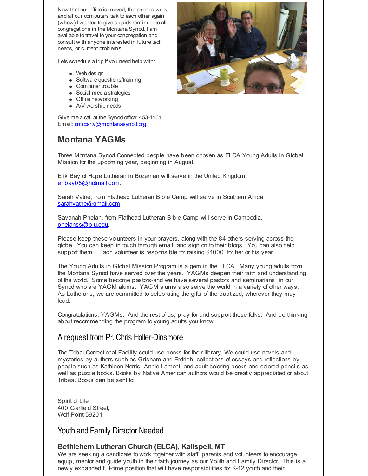Now that our office is moved, the phones work, and all our computers talk to each other again (whew) I wanted to give a quick reminder to all congregations in the Montana Synod. I am available to travel to your congregation and consult with anyone interested in future tech needs, or current problems.

Lets schedule a trip if you need help with:

- Web design
- Software questions/training
- Computer trouble
- Social media strategies
- Office networking
- A/V worship needs

Give me a call at the Synod office: 453-1461 Email: [cmccarty@montanasynod.org](mailto:cmccarty@montanasynod.org)

#### **Montana YAGMs**

Three Montana Synod Connected people have been chosen as ELCA Young Adults in Global Mission for the upcoming year, beginning in August.

Erik Bay of Hope Lutheran in Bozeman will serve in the United Kingdom. [e\\_bay08@hotmail.com.](mailto:e_bay08@hotmail.com)

Sarah Vatne, from Flathead Lutheran Bible Camp will serve in Southern Africa. [sarahvatne@gmail.com.](mailto:sarahvatne@gmail.com)

Savanah Phelan, from Flathead Lutheran Bible Camp will serve in Cambodia. [phelanss@plu.edu.](mailto:phelanss@plu.edu)

Please keep these volunteers in your prayers, along with the 84 others serving across the globe. You can keep in touch through email, and sign on to their blogs. You can also help support them. Each volunteer is responsible for raising \$4000. for her or his year.

The Young Adults in Global Mission Program is a gem in the ELCA. Many young adults from the Montana Synod have served over the years. YAGMs deepen their faith and understanding of the world. Some become pastors-and we have several pastors and seminarians in our Synod who are YAGM alums. YAGM alums also serve the world in a variety of other ways. As Lutherans, we are committed to celebrating the gifts of the baptized, wherever they may lead.

Congratulations, YAGMs. And the rest of us, pray for and support these folks. And be thinking about recommending the program to young adults you know.

#### A request from Pr.Chris Holler-Dinsmore

The Tribal Correctional Facility could use books for their library. We could use novels and mysteries by authors such as Grisham and Erdrich, collections of essays and reflections by people such as Kathleen Norris, Annie Lamont, and adult coloring books and colored pencils as well as puzzle books. Books by Native American authors would be greatly appreciated or about Tribes. Books can be sent to:

Spirit of Life 400 Garfield Street, Wolf Point 59201

#### Youth and Family Director Needed

#### **Bethlehem Lutheran Church (ELCA), Kalispell, MT**

We are seeking a candidate to work together with staff, parents and volunteers to encourage, equip, mentor and guide youth in their faith journey as our Youth and Family Director. This is a newly expanded full-time position that will have responsibilities for K-12 youth and their

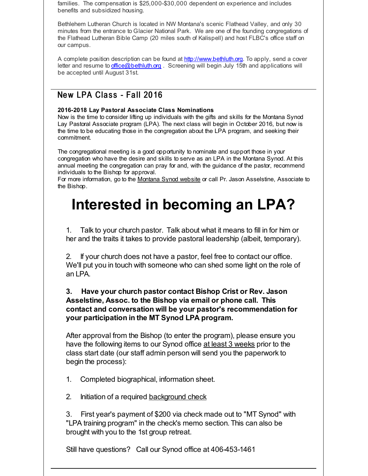families. The compensation is \$25,000-\$30,000 dependent on experience and includes benefits and subsidized housing.

Bethlehem Lutheran Church is located in NW Montana's scenic Flathead Valley, and only 30 minutes from the entrance to Glacier National Park. We are one of the founding congregations of the Flathead Lutheran Bible Camp (20 miles south of Kalispell) and host FLBC's office staff on our campus.

A complete position description can be found at [http://www.bethluth.org](http://r20.rs6.net/tn.jsp?f=001dXRXwS4q3uL_FoCsSFSk3whnJ35NM2Tsxd5OxqeoASZ3fynxkbsTScX4GQXZYIUqnbQrd-EJdtrmj7OkGrsPgfKgfSSORcOHgHg41Oq7ceVB4lwCHOGET6FAyletMDden7ElVZO4txxnMJt3YbWnsn0PGZ17i7M2oHqpTlWcC3Y=&c=&ch=). To apply, send a cover letter and resume to *[office@bethluth.org](mailto:office@bethluth.org)* . Screening will begin July 15th and applications will be accepted until August 31st.

#### New LPA Class - Fall 2016

#### **2016-2018 Lay Pastoral Associate Class Nominations**

Now is the time to consider lifting up individuals with the gifts and skills for the Montana Synod Lay Pastoral Associate program (LPA). The next class will begin in October 2016, but now is the time to be educating those in the congregation about the LPA program, and seeking their commitment.

The congregational meeting is a good opportunity to nominate and support those in your congregation who have the desire and skills to serve as an LPA in the Montana Synod. At this annual meeting the congregation can pray for and, with the guidance of the pastor, recommend individuals to the Bishop for approval.

For more information, go to the [Montana](http://r20.rs6.net/tn.jsp?f=001dXRXwS4q3uL_FoCsSFSk3whnJ35NM2Tsxd5OxqeoASZ3fynxkbsTSd8qNzJVg3sWZFnWfH_h9Lkjwfc2q0XjayPdfYDszeqVhHsf0iYn2mt19OBI7K6d35BJ51ThQbI0pa6huGLexFa7p-ND7E-2TCuxDSoEd4K_PlZPIJXf57NItSs4We9-9g==&c=&ch=) Synod website or call Pr. Jason Asselstine, Associate to the Bishop.

# **Interested in becoming an LPA?**

1. Talk to your church pastor. Talk about what it means to fill in for him or her and the traits it takes to provide pastoral leadership (albeit, temporary).

2. If your church does not have a pastor, feel free to contact our office. We'll put you in touch with someone who can shed some light on the role of an LPA.

#### **3. Have your church pastor contact Bishop Crist or Rev. Jason Asselstine, Assoc. to the Bishop via email or phone call. This contact and conversation will be your pastor's recommendation for your participation in the MT Synod LPA program.**

After approval from the Bishop (to enter the program), please ensure you have the following items to our Synod office at least 3 weeks prior to the class start date (our staff admin person will send you the paperwork to begin the process):

- 1. Completed biographical, information sheet.
- 2. Initiation of a required [background](http://r20.rs6.net/tn.jsp?f=001dXRXwS4q3uL_FoCsSFSk3whnJ35NM2Tsxd5OxqeoASZ3fynxkbsTSXSlUKvEOoCf67QoitTB2vRjbh_h6uV95lsBdxrRn0WiWUJkElrFV_do8zDeNPW_MiwAmfSFR9-E1OXMK0vNhUO5zSfS_Lplac2MORFbTUK_Ak0cGFiJe4v9vrG9D9AAf5J1-kyPEYBj5C_5z6iyK2AQ-Teu7-Gi5Q==&c=&ch=) check

3. First year's payment of \$200 via check made out to "MT Synod" with "LPA training program" in the check's memo section. This can also be brought with you to the 1st group retreat.

Still have questions? Call our Synod office at 406-453-1461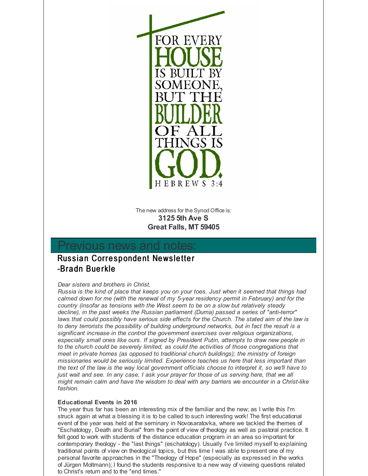

The new address for the Synod Office is: **3125 5th Ave S Great Falls, MT 59405**

#### Previous news and

#### Russian Correspondent Newsletter -Bra dn Bue rkle

#### *Dear sisters and brothers in Christ,*

Russia is the kind of place that keeps you on your toes. Just when it seemed that things had *calmed down for me (with the renewal of my 5-year residency permit in February) and for the country (insofar as tensions with the West seem to be on a slow but relatively steady decline), in the past weeks the Russian parliament (Duma) passed a series of "anti-terror" laws that could possibly have serious side effects for the Church. The stated aim of the law is to deny terrorists the possibility of building underground networks, but in fact the result is a significant increase in the control the government exercises over religious organizations, especially small ones like ours. If signed by President Putin, attempts to draw new people in to the church could be severely limited, as could the activities of those congregations that meet in private homes (as opposed to traditional church buildings); the ministry of foreign missionaries would be seriously limited. Experience teaches us here that less important than* the text of the law is the way local government officials choose to interpret it, so we'll have to just wait and see. In any case, I ask your prayer for those of us serving here, that we all *might remain calm and have the wisdom to deal with any barriers we encounter in a Christ-like fashion.*

#### **Educational Events in 2016**

The year thus far has been an interesting mix of the familiar and the new; as I write this I'm struck again at what a blessing it is to be called to such interesting work! The first educational event of the year was held at the seminary in Novosaratovka, where we tackled the themes of "Eschatology, Death and Burial" from the point of view of theology as well as pastoral practice. It felt good to work with students of the distance education program in an area so important for contemporary theology - the "last things" (eschatology). Usually I've limited myself to explaining traditional points of view on theological topics, but this time I was able to present one of my personal favorite approaches in the "Theology of Hope" (especially as expressed in the works of Jürgen Moltmann); I found the students responsive to a new way of viewing questions related to Christ's return and to the "end times."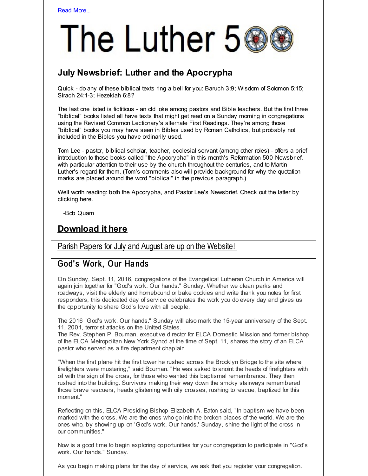**Read More.** 

# The Luther 5֎

#### **July Newsbrief: Luther and the Apocrypha**

Quick - do any of these biblical texts ring a bell for you: Baruch 3:9; Wisdom of Solomon 5:15; Sirach 24:1-3; Hezekiah 6:8?

The last one listed is fictitious - an old joke among pastors and Bible teachers. But the first three "biblical" books listed all have texts that might get read on a Sunday morning in congregations using the Revised Common Lectionary's alternate First Readings. They're among those "biblical" books you may have seen in Bibles used by Roman Catholics, but probably not included in the Bibles you have ordinarily used.

Tom Lee - pastor, biblical scholar, teacher, ecclesial servant (among other roles) - offers a brief introduction to those books called "the Apocrypha" in this month's Reformation 500 Newsbrief, with particular attention to their use by the church throughout the centuries, and to Martin Luther's regard for them. (Tom's comments also will provide background for why the quotation marks are placed around the word "biblical" in the previous paragraph.)

Well worth reading: both the Apocrypha, and Pastor Lee's Newsbrief. Check out the latter by clicking here.

-Bob Quam

#### **[Download](http://r20.rs6.net/tn.jsp?f=001dXRXwS4q3uL_FoCsSFSk3whnJ35NM2Tsxd5OxqeoASZ3fynxkbsTSTo5lvnBzW9JO_XrNZNPRXcfyLurbYdqsOHnibK8jlwdLOU5PaCSsJHunFM6OOjMRuUDEF5ds47-4ZuZg53uop0fZ2RudG7GTpLZ0_MtjF7lqQmIrk-tKFvEFvMxBTJ_bghQqTgVU9_U9JtX7XjHwTI=&c=&ch=) it here**

Parish Papers for July and August are up on the [Website!](http://r20.rs6.net/tn.jsp?f=001dXRXwS4q3uL_FoCsSFSk3whnJ35NM2Tsxd5OxqeoASZ3fynxkbsTSaFONyCf17JtNx6IrcMwVUL1KZAl9cHlz9oNihql9g4AhawPzPgcR8dDK-r8j2zJkTdkQ1RIWbFN85cx5_Nyw_tctCsC6c_JDjo-r0BviupF_TSRULLk7-jxcqr8aL_mj3wAOzztrJmmO6gAhHR382dJVhSM78UfDA==&c=&ch=)

#### God's Work, Our Hands

On Sunday, Sept. 11, 2016, congregations of the Evangelical Lutheran Church in America will again join together for "God's work. Our hands." Sunday. Whether we clean parks and roadways, visit the elderly and homebound or bake cookies and write thank you notes for first responders, this dedicated day of service celebrates the work you do every day and gives us the opportunity to share God's love with all people.

The 2016 "God's work. Our hands." Sunday will also mark the 15-year anniversary of the Sept. 11, 2001, terrorist attacks on the United States.

The Rev. Stephen P. Bouman, executive director for ELCA Domestic Mission and former bishop of the ELCA Metropolitan New York Synod at the time of Sept. 11, shares the story of an ELCA pastor who served as a fire department chaplain.

"When the first plane hit the first tower he rushed across the Brooklyn Bridge to the site where firefighters were mustering," said Bouman. "He was asked to anoint the heads of firefighters with oil with the sign of the cross, for those who wanted this baptismal remembrance. They then rushed into the building. Survivors making their way down the smoky stairways remembered those brave rescuers, heads glistening with oily crosses, rushing to rescue, baptized for this moment."

Reflecting on this, ELCA Presiding Bishop Elizabeth A. Eaton said, "In baptism we have been marked with the cross. We are the ones who go into the broken places of the world. We are the ones who, by showing up on 'God's work. Our hands.' Sunday, shine the light of the cross in our communities."

Now is a good time to begin exploring opportunities for your congregation to participate in "God's work. Our hands." Sunday.

As you begin making plans for the day of service, we ask that you register your congregation.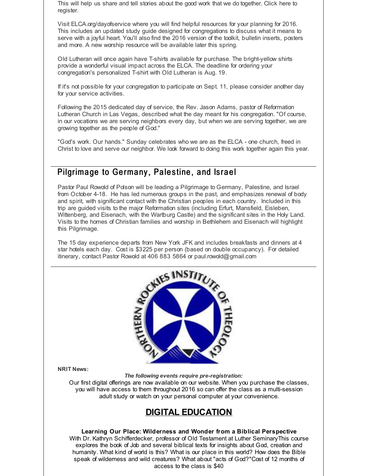This will help us share and tell stories about the good work that we do together. Click here to register.

Visit ELCA.org/dayofservice where you will find helpful resources for your planning for 2016. This includes an updated study guide designed for congregations to discuss what it means to serve with a joyful heart. You'll also find the 2016 version of the toolkit, bulletin inserts, posters and more. A new worship resource will be available later this spring.

Old Lutheran will once again have T-shirts available for purchase. The bright-yellow shirts provide a wonderful visual impact across the ELCA. The deadline for ordering your congregation's personalized T-shirt with Old Lutheran is Aug. 19.

If it's not possible for your congregation to participate on Sept. 11, please consider another day for your service activities.

Following the 2015 dedicated day of service, the Rev. Jason Adams, pastor of Reformation Lutheran Church in Las Vegas, described what the day meant for his congregation. "Of course, in our vocations we are serving neighbors every day, but when we are serving together, we are growing together as the people of God."

"God's work. Our hands." Sunday celebrates who we are as the ELCA - one church, freed in Christ to love and serve our neighbor. We look forward to doing this work together again this year.

#### Pilgrimage to Germany, Palestine, and Israel

Pastor Paul Rowold of Polson will be leading a Pilgrimage to Germany, Palestine, and Israel from October 4-18. He has led numerous groups in the past, and emphasizes renewal of body and spirit, with significant contact with the Christian peoples in each country. Included in this trip are guided visits to the major Reformation sites (including Erfurt, Mansfield, Eisleben, Wittenberg, and Eisenach, with the Wartburg Castle) and the significant sites in the Holy Land. Visits to the homes of Christian families and worship in Bethlehem and Eisenach will highlight this Pilgrimage.

The 15 day experience departs from New York JFK and includes breakfasts and dinners at 4 star hotels each day. Cost is \$3225 per person (based on double occupancy). For detailed itinerary, contact Pastor Rowold at 406 883 5864 or paul.rowold@gmail.com



**NRIT News:**

*The following events require pre-registration:*

Our first digital offerings are now available on our website. When you purchase the classes, you will have access to them throughout 2016 so can offer the class as a multi-session adult study or watch on your personal computer at your convenience.

#### **DIGITAL EDUCATION**

**Learning Our Place: Wilderness and Wonder from a Biblical Perspective** With Dr. Kathryn Schifferdecker, professor of Old Testament at Luther SeminaryThis course explores the book of Job and several biblical texts for insights about God, creation and humanity. What kind of world is this? What is our place in this world? How does the Bible speak of wilderness and wild creatures? What about "acts of God?"Cost of 12 months of access to the class is \$40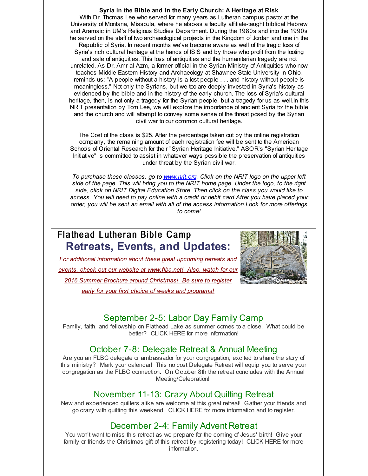**Syria in the Bible and in the Early Church: A Heritage at Risk** With Dr. Thomas Lee who served for many years as Lutheran campus pastor at the University of Montana, Missoula, where he also-as a faculty affiliate-taught biblical Hebrew and Aramaic in UM's Religious Studies Department. During the 1980s and into the 1990s he served on the staff of two archaeological projects in the Kingdom of Jordan and one in the Republic of Syria. In recent months we've become aware as well of the tragic loss of Syria's rich cultural heritage at the hands of ISIS and by those who profit from the looting and sale of antiquities. This loss of antiquities and the humanitarian tragedy are not unrelated. As Dr. Amr al-Azm, a former official in the Syrian Ministry of Antiquities who now teaches Middle Eastern History and Archaeology at Shawnee State University in Ohio, reminds us: "A people without a history is a lost people . . . and history without people is meaningless." Not only the Syrians, but we too are deeply invested in Syria's history as evidenced by the bible and in the history of the early church. The loss of Syria's cultural heritage, then, is not only a tragedy for the Syrian people, but a tragedy for us as well.In this NRIT presentation by Tom Lee, we will explore the importance of ancient Syria for the bible and the church and will attempt to convey some sense of the threat posed by the Syrian civil war to our common cultural heritage.

The Cost of the class is \$25. After the percentage taken out by the online registration company, the remaining amount of each registration fee will be sent to the American Schools of Oriental Research for their "Syrian Heritage Initiative." ASOR's "Syrian Heritage Initiative" is committed to assist in whatever ways possible the preservation of antiquities under threat by the Syrian civil war.

*To purchase these classes, go to [www.nrit.org](http://r20.rs6.net/tn.jsp?f=001dXRXwS4q3uL_FoCsSFSk3whnJ35NM2Tsxd5OxqeoASZ3fynxkbsTScJTCJ0kKWUDLyYqrE9AlqFFXJ-afX7u24O0o0GRUhb74YeSE4oUNbjZ1zB1XRfHCSBMuTWhzZKdP-ddhvPoByTmm6PV6ZgYVrx38Bc1Hd_h&c=&ch=). Click on the NRIT logo on the upper left side of the page. This will bring you to the NRIT home page. Under the logo, to the right side, click on NRIT Digital Education Store. Then click on the class you would like to access. You will need to pay online with a credit or debit card.After you have placed your order, you will be sent an email with all of the access information.Look for more offerings to come!*

### Flathead Lutheran Bible Camp **Retreats, Events, and Updates:**

*For additional information about these great upcoming retreats and events, check out our website at [www.flbc.net](http://r20.rs6.net/tn.jsp?f=001dXRXwS4q3uL_FoCsSFSk3whnJ35NM2Tsxd5OxqeoASZ3fynxkbsTSQ5sORdRP3EgdUsAgZZUASOgWhPOSXe-4yj0Pzb2dUWEP7scOccKL2bI2-H6Y50bV3Db5kcWHSroHTohpeUyUSRB0Tg5w_nnYATegZgLFjTJiHQ3ohHKSDevkryeTDWx9Thsu88dXQGPI0NURXSTQz0d_ACHd-K9fmr-MIVBJuDSj0UIdsF3VhNweQWAbmM5Bnpd28Kh_8O3&c=&ch=)! Also, watch for our 2016 Summer Brochure around Christmas! Be sure to register early for your first choice of weeks and programs!*



#### September 2-5: Labor Day Family Camp

Family, faith, and fellowship on Flathead Lake as summer comes to a close. What could be better? CLICK HERE for more information!

#### October 7-8: Delegate Retreat & Annual Meeting

Are you an FLBC delegate or ambassador for your congregation, excited to share the story of this ministry? Mark your calendar! This no cost Delegate Retreat will equip you to serve your congregation as the FLBC connection. On October 8th the retreat concludes with the Annual Meeting/Celebration!

#### November 11-13: Crazy About Quilting Retreat

New and experienced quilters alike are welcome at this great retreat! Gather your friends and go crazy with quilting this weekend! CLICK HERE for more information and to register.

#### December 2-4: Family Advent Retreat

You won't want to miss this retreat as we prepare for the coming of Jesus' birth! Give your family or friends the Christmas gift of this retreat by registering today! CLICK HERE for more information.